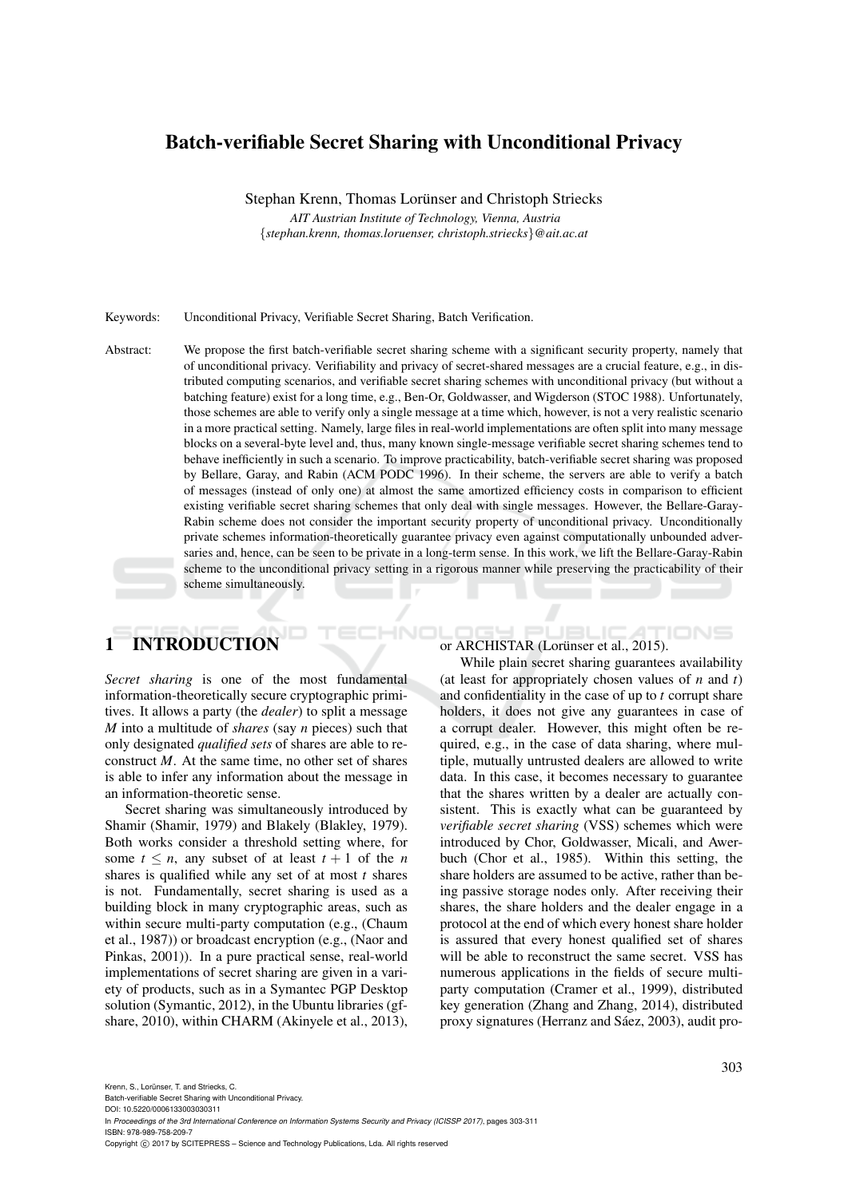## Batch-verifiable Secret Sharing with Unconditional Privacy

Stephan Krenn, Thomas Lorünser and Christoph Striecks

*AIT Austrian Institute of Technology, Vienna, Austria* {*stephan.krenn, thomas.loruenser, christoph.striecks*}*@ait.ac.at*

#### Keywords: Unconditional Privacy, Verifiable Secret Sharing, Batch Verification.

Abstract: We propose the first batch-verifiable secret sharing scheme with a significant security property, namely that of unconditional privacy. Verifiability and privacy of secret-shared messages are a crucial feature, e.g., in distributed computing scenarios, and verifiable secret sharing schemes with unconditional privacy (but without a batching feature) exist for a long time, e.g., Ben-Or, Goldwasser, and Wigderson (STOC 1988). Unfortunately, those schemes are able to verify only a single message at a time which, however, is not a very realistic scenario in a more practical setting. Namely, large files in real-world implementations are often split into many message blocks on a several-byte level and, thus, many known single-message verifiable secret sharing schemes tend to behave inefficiently in such a scenario. To improve practicability, batch-verifiable secret sharing was proposed by Bellare, Garay, and Rabin (ACM PODC 1996). In their scheme, the servers are able to verify a batch of messages (instead of only one) at almost the same amortized efficiency costs in comparison to efficient existing verifiable secret sharing schemes that only deal with single messages. However, the Bellare-Garay-Rabin scheme does not consider the important security property of unconditional privacy. Unconditionally private schemes information-theoretically guarantee privacy even against computationally unbounded adversaries and, hence, can be seen to be private in a long-term sense. In this work, we lift the Bellare-Garay-Rabin scheme to the unconditional privacy setting in a rigorous manner while preserving the practicability of their scheme simultaneously.

HNI

# 1 INTRODUCTION

*Secret sharing* is one of the most fundamental information-theoretically secure cryptographic primitives. It allows a party (the *dealer*) to split a message *M* into a multitude of *shares* (say *n* pieces) such that only designated *qualified sets* of shares are able to reconstruct *M*. At the same time, no other set of shares is able to infer any information about the message in an information-theoretic sense.

Secret sharing was simultaneously introduced by Shamir (Shamir, 1979) and Blakely (Blakley, 1979). Both works consider a threshold setting where, for some  $t \leq n$ , any subset of at least  $t + 1$  of the *n* shares is qualified while any set of at most *t* shares is not. Fundamentally, secret sharing is used as a building block in many cryptographic areas, such as within secure multi-party computation (e.g., (Chaum et al., 1987)) or broadcast encryption (e.g., (Naor and Pinkas, 2001)). In a pure practical sense, real-world implementations of secret sharing are given in a variety of products, such as in a Symantec PGP Desktop solution (Symantic, 2012), in the Ubuntu libraries (gfshare, 2010), within CHARM (Akinyele et al., 2013),

or ARCHISTAR (Lorünser et al., 2015).

While plain secret sharing guarantees availability (at least for appropriately chosen values of *n* and *t*) and confidentiality in the case of up to *t* corrupt share holders, it does not give any guarantees in case of a corrupt dealer. However, this might often be required, e.g., in the case of data sharing, where multiple, mutually untrusted dealers are allowed to write data. In this case, it becomes necessary to guarantee that the shares written by a dealer are actually consistent. This is exactly what can be guaranteed by *verifiable secret sharing* (VSS) schemes which were introduced by Chor, Goldwasser, Micali, and Awerbuch (Chor et al., 1985). Within this setting, the share holders are assumed to be active, rather than being passive storage nodes only. After receiving their shares, the share holders and the dealer engage in a protocol at the end of which every honest share holder is assured that every honest qualified set of shares will be able to reconstruct the same secret. VSS has numerous applications in the fields of secure multiparty computation (Cramer et al., 1999), distributed key generation (Zhang and Zhang, 2014), distributed proxy signatures (Herranz and Sáez, 2003), audit pro-

DOI: 10.5220/0006133003030311

In *Proceedings of the 3rd International Conference on Information Systems Security and Privacy (ICISSP 2017)*, pages 303-311 ISBN: 978-989-758-209-7

Batch-verifiable Secret Sharing with Unconditional Privacy.

Copyright (C) 2017 by SCITEPRESS - Science and Technology Publications, Lda. All rights reserved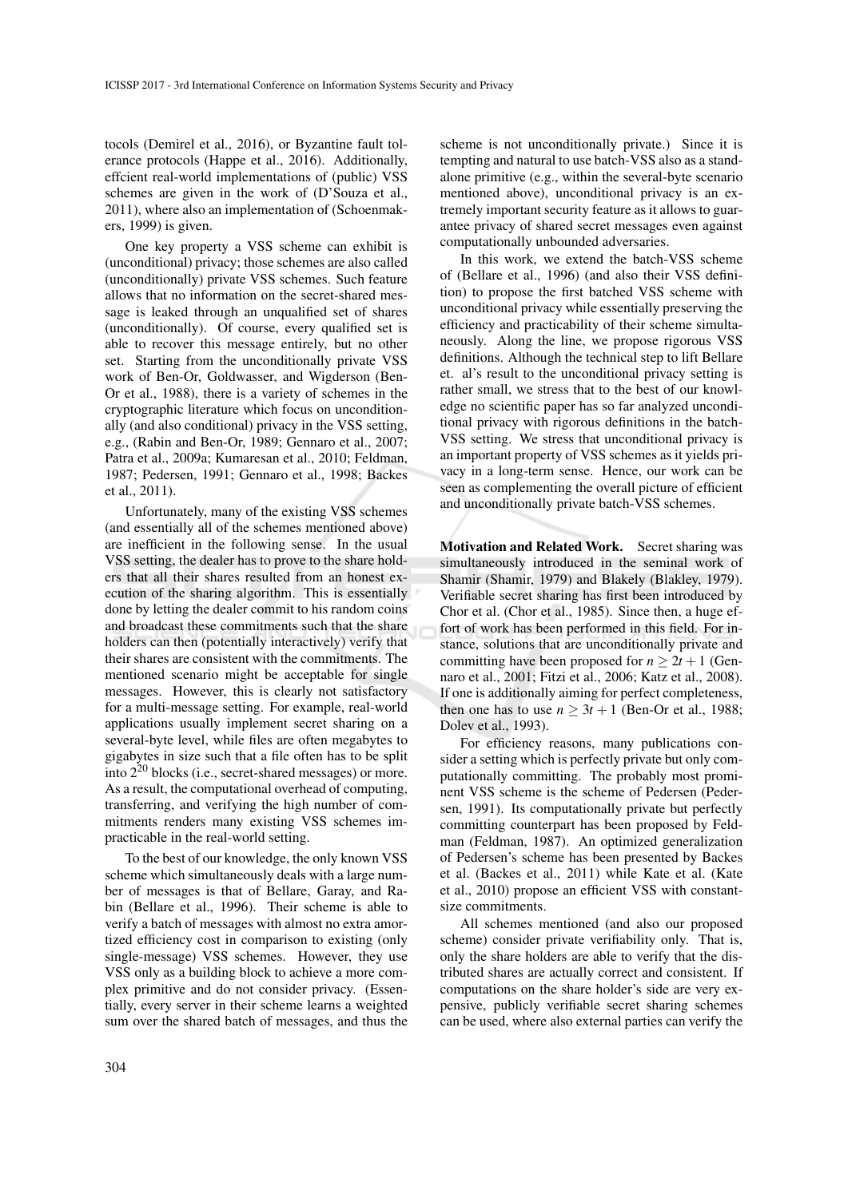tocols (Demirel et al., 2016), or Byzantine fault tolerance protocols (Happe et al., 2016). Additionally, effcient real-world implementations of (public) VSS schemes are given in the work of (D'Souza et al., 2011), where also an implementation of (Schoenmakers, 1999) is given.

One key property a VSS scheme can exhibit is (unconditional) privacy; those schemes are also called (unconditionally) private VSS schemes. Such feature allows that no information on the secret-shared message is leaked through an unqualified set of shares (unconditionally). Of course, every qualified set is able to recover this message entirely, but no other set. Starting from the unconditionally private VSS work of Ben-Or, Goldwasser, and Wigderson (Ben-Or et al., 1988), there is a variety of schemes in the cryptographic literature which focus on unconditionally (and also conditional) privacy in the VSS setting, e.g., (Rabin and Ben-Or, 1989; Gennaro et al., 2007; Patra et al., 2009a; Kumaresan et al., 2010; Feldman, 1987; Pedersen, 1991; Gennaro et al., 1998; Backes et al., 2011).

Unfortunately, many of the existing VSS schemes (and essentially all of the schemes mentioned above) are inefficient in the following sense. In the usual VSS setting, the dealer has to prove to the share holders that all their shares resulted from an honest execution of the sharing algorithm. This is essentially done by letting the dealer commit to his random coins and broadcast these commitments such that the share holders can then (potentially interactively) verify that their shares are consistent with the commitments. The mentioned scenario might be acceptable for single messages. However, this is clearly not satisfactory for a multi-message setting. For example, real-world applications usually implement secret sharing on a several-byte level, while files are often megabytes to gigabytes in size such that a file often has to be split into 2<sup>20</sup> blocks (i.e., secret-shared messages) or more. As a result, the computational overhead of computing, transferring, and verifying the high number of commitments renders many existing VSS schemes impracticable in the real-world setting.

To the best of our knowledge, the only known VSS scheme which simultaneously deals with a large number of messages is that of Bellare, Garay, and Rabin (Bellare et al., 1996). Their scheme is able to verify a batch of messages with almost no extra amortized efficiency cost in comparison to existing (only single-message) VSS schemes. However, they use VSS only as a building block to achieve a more complex primitive and do not consider privacy. (Essentially, every server in their scheme learns a weighted sum over the shared batch of messages, and thus the

scheme is not unconditionally private.) Since it is tempting and natural to use batch-VSS also as a standalone primitive (e.g., within the several-byte scenario mentioned above), unconditional privacy is an extremely important security feature as it allows to guarantee privacy of shared secret messages even against computationally unbounded adversaries.

In this work, we extend the batch-VSS scheme of (Bellare et al., 1996) (and also their VSS definition) to propose the first batched VSS scheme with unconditional privacy while essentially preserving the efficiency and practicability of their scheme simultaneously. Along the line, we propose rigorous VSS definitions. Although the technical step to lift Bellare et. al's result to the unconditional privacy setting is rather small, we stress that to the best of our knowledge no scientific paper has so far analyzed unconditional privacy with rigorous definitions in the batch-VSS setting. We stress that unconditional privacy is an important property of VSS schemes as it yields privacy in a long-term sense. Hence, our work can be seen as complementing the overall picture of efficient and unconditionally private batch-VSS schemes.

Motivation and Related Work. Secret sharing was simultaneously introduced in the seminal work of Shamir (Shamir, 1979) and Blakely (Blakley, 1979). Verifiable secret sharing has first been introduced by Chor et al. (Chor et al., 1985). Since then, a huge effort of work has been performed in this field. For instance, solutions that are unconditionally private and committing have been proposed for  $n \ge 2t + 1$  (Gennaro et al., 2001; Fitzi et al., 2006; Katz et al., 2008). If one is additionally aiming for perfect completeness, then one has to use  $n > 3t + 1$  (Ben-Or et al., 1988; Dolev et al., 1993).

For efficiency reasons, many publications consider a setting which is perfectly private but only computationally committing. The probably most prominent VSS scheme is the scheme of Pedersen (Pedersen, 1991). Its computationally private but perfectly committing counterpart has been proposed by Feldman (Feldman, 1987). An optimized generalization of Pedersen's scheme has been presented by Backes et al. (Backes et al., 2011) while Kate et al. (Kate et al., 2010) propose an efficient VSS with constantsize commitments.

All schemes mentioned (and also our proposed scheme) consider private verifiability only. That is, only the share holders are able to verify that the distributed shares are actually correct and consistent. If computations on the share holder's side are very expensive, publicly verifiable secret sharing schemes can be used, where also external parties can verify the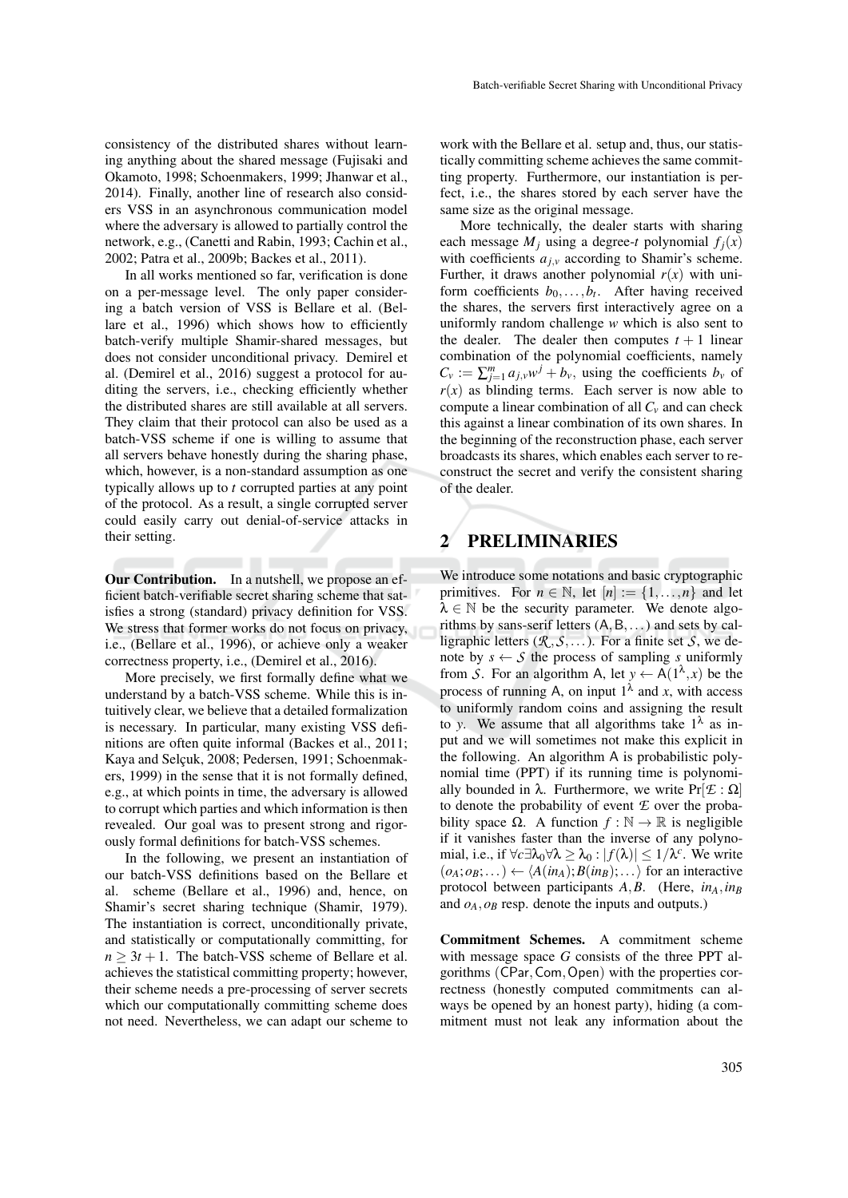consistency of the distributed shares without learning anything about the shared message (Fujisaki and Okamoto, 1998; Schoenmakers, 1999; Jhanwar et al., 2014). Finally, another line of research also considers VSS in an asynchronous communication model where the adversary is allowed to partially control the network, e.g., (Canetti and Rabin, 1993; Cachin et al., 2002; Patra et al., 2009b; Backes et al., 2011).

In all works mentioned so far, verification is done on a per-message level. The only paper considering a batch version of VSS is Bellare et al. (Bellare et al., 1996) which shows how to efficiently batch-verify multiple Shamir-shared messages, but does not consider unconditional privacy. Demirel et al. (Demirel et al., 2016) suggest a protocol for auditing the servers, i.e., checking efficiently whether the distributed shares are still available at all servers. They claim that their protocol can also be used as a batch-VSS scheme if one is willing to assume that all servers behave honestly during the sharing phase, which, however, is a non-standard assumption as one typically allows up to *t* corrupted parties at any point of the protocol. As a result, a single corrupted server could easily carry out denial-of-service attacks in their setting.

Our Contribution. In a nutshell, we propose an efficient batch-verifiable secret sharing scheme that satisfies a strong (standard) privacy definition for VSS. We stress that former works do not focus on privacy, i.e., (Bellare et al., 1996), or achieve only a weaker correctness property, i.e., (Demirel et al., 2016).

More precisely, we first formally define what we understand by a batch-VSS scheme. While this is intuitively clear, we believe that a detailed formalization is necessary. In particular, many existing VSS definitions are often quite informal (Backes et al., 2011; Kaya and Selçuk, 2008; Pedersen, 1991; Schoenmakers, 1999) in the sense that it is not formally defined, e.g., at which points in time, the adversary is allowed to corrupt which parties and which information is then revealed. Our goal was to present strong and rigorously formal definitions for batch-VSS schemes.

In the following, we present an instantiation of our batch-VSS definitions based on the Bellare et al. scheme (Bellare et al., 1996) and, hence, on Shamir's secret sharing technique (Shamir, 1979). The instantiation is correct, unconditionally private, and statistically or computationally committing, for  $n \geq 3t + 1$ . The batch-VSS scheme of Bellare et al. achieves the statistical committing property; however, their scheme needs a pre-processing of server secrets which our computationally committing scheme does not need. Nevertheless, we can adapt our scheme to

work with the Bellare et al. setup and, thus, our statistically committing scheme achieves the same committing property. Furthermore, our instantiation is perfect, i.e., the shares stored by each server have the same size as the original message.

More technically, the dealer starts with sharing each message  $M_i$  using a degree-*t* polynomial  $f_i(x)$ with coefficients  $a_{j,y}$  according to Shamir's scheme. Further, it draws another polynomial  $r(x)$  with uniform coefficients  $b_0, \ldots, b_t$ . After having received the shares, the servers first interactively agree on a uniformly random challenge *w* which is also sent to the dealer. The dealer then computes  $t + 1$  linear combination of the polynomial coefficients, namely  $C_v := \sum_{j=1}^m a_{j,v} w^j + b_v$ , using the coefficients  $b_v$  of  $r(x)$  as blinding terms. Each server is now able to compute a linear combination of all  $C_v$  and can check this against a linear combination of its own shares. In the beginning of the reconstruction phase, each server broadcasts its shares, which enables each server to reconstruct the secret and verify the consistent sharing of the dealer.

## 2 PRELIMINARIES

We introduce some notations and basic cryptographic primitives. For  $n \in \mathbb{N}$ , let  $[n] := \{1, \ldots, n\}$  and let  $\lambda \in \mathbb{N}$  be the security parameter. We denote algorithms by sans-serif letters  $(A, B, \ldots)$  and sets by calligraphic letters  $(R, S, \ldots)$ . For a finite set *S*, we denote by  $s \leftarrow S$  the process of sampling *s* uniformly from *S*. For an algorithm A, let  $y \leftarrow A(1^{\lambda}, x)$  be the process of running A, on input  $1^{\lambda}$  and *x*, with access to uniformly random coins and assigning the result to *y*. We assume that all algorithms take  $1^{\lambda}$  as input and we will sometimes not make this explicit in the following. An algorithm A is probabilistic polynomial time (PPT) if its running time is polynomially bounded in  $\lambda$ . Furthermore, we write Pr[*Ε* : Ω] to denote the probability of event *E* over the probability space  $\Omega$ . A function  $f : \mathbb{N} \to \mathbb{R}$  is negligible if it vanishes faster than the inverse of any polynomial, i.e., if  $\forall c \exists \lambda_0 \forall \lambda \geq \lambda_0 : |f(\lambda)| \leq 1/\lambda^c$ . We write  $(o_A; o_B; \dots) \leftarrow \langle A(in_A); B(in_B); \dots \rangle$  for an interactive protocol between participants *A*,*B*. (Here, *inA*,*in<sup>B</sup>* and  $o_A$ ,  $o_B$  resp. denote the inputs and outputs.)

Commitment Schemes. A commitment scheme with message space *G* consists of the three PPT algorithms (CPar,Com,Open) with the properties correctness (honestly computed commitments can always be opened by an honest party), hiding (a commitment must not leak any information about the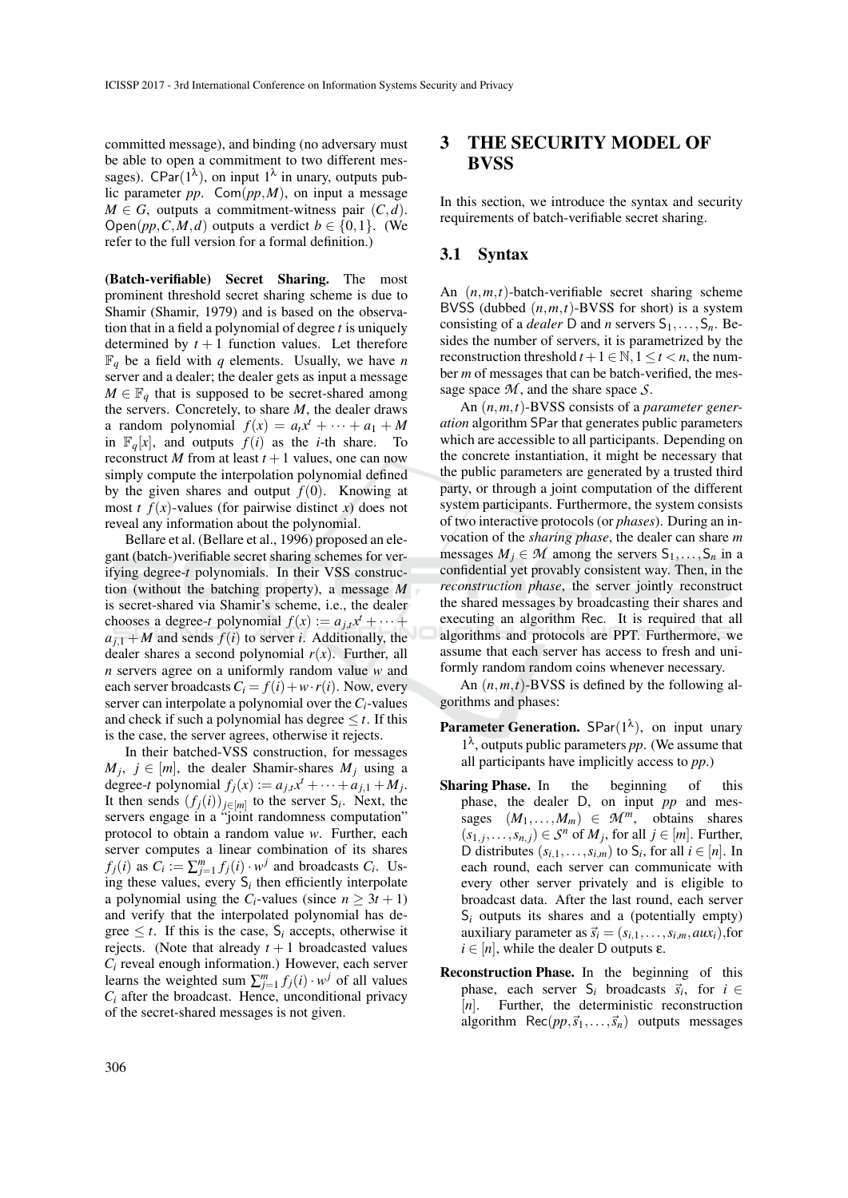committed message), and binding (no adversary must be able to open a commitment to two different messages). CPar( $1^{\lambda}$ ), on input  $1^{\lambda}$  in unary, outputs public parameter *pp*. Com(*pp*,*M*), on input a message  $M \in G$ , outputs a commitment-witness pair  $(C,d)$ . Open( $pp, C, M, d$ ) outputs a verdict  $b \in \{0, 1\}$ . (We refer to the full version for a formal definition.)

(Batch-verifiable) Secret Sharing. The most prominent threshold secret sharing scheme is due to Shamir (Shamir, 1979) and is based on the observation that in a field a polynomial of degree *t* is uniquely determined by  $t + 1$  function values. Let therefore  $\mathbb{F}_q$  be a field with *q* elements. Usually, we have *n* server and a dealer; the dealer gets as input a message  $M \in \mathbb{F}_q$  that is supposed to be secret-shared among the servers. Concretely, to share *M*, the dealer draws a random polynomial  $f(x) = a_t x^t + \cdots + a_1 + M$ in  $\mathbb{F}_q[x]$ , and outputs  $f(i)$  as the *i*-th share. To reconstruct *M* from at least  $t + 1$  values, one can now simply compute the interpolation polynomial defined by the given shares and output  $f(0)$ . Knowing at most *t*  $f(x)$ -values (for pairwise distinct *x*) does not reveal any information about the polynomial.

Bellare et al. (Bellare et al., 1996) proposed an elegant (batch-)verifiable secret sharing schemes for verifying degree-*t* polynomials. In their VSS construction (without the batching property), a message *M* is secret-shared via Shamir's scheme, i.e., the dealer chooses a degree-*t* polynomial  $f(x) := a_{j,t}x^{t} + \cdots$  $a_{i,1} + M$  and sends  $f(i)$  to server *i*. Additionally, the dealer shares a second polynomial  $r(x)$ . Further, all *n* servers agree on a uniformly random value *w* and each server broadcasts  $C_i = f(i) + w \cdot r(i)$ . Now, every server can interpolate a polynomial over the *Ci*-values and check if such a polynomial has degree  $\leq t$ . If this is the case, the server agrees, otherwise it rejects.

In their batched-VSS construction, for messages  $M_j$ ,  $j \in [m]$ , the dealer Shamir-shares  $M_j$  using a degree-*t* polynomial  $f_j(x) := a_{j,t}x^t + \cdots + a_{j,1} + M_j$ . It then sends  $(f_j(i))_{j \in [m]}$  to the server  $S_i$ . Next, the servers engage in a "joint randomness computation" protocol to obtain a random value *w*. Further, each server computes a linear combination of its shares *f*<sub>*j*</sub>(*i*) as  $C_i := \sum_{j=1}^m f_j(i) \cdot w^j$  and broadcasts  $C_i$ . Using these values, every  $S_i$  then efficiently interpolate a polynomial using the *C*<sub>*i*</sub>-values (since  $n \geq 3t + 1$ ) and verify that the interpolated polynomial has degree  $\leq t$ . If this is the case,  $S_i$  accepts, otherwise it rejects. (Note that already  $t + 1$  broadcasted values  $C_i$  reveal enough information.) However, each server learns the weighted sum  $\sum_{j=1}^{m} f_j(i) \cdot w^j$  of all values  $C_i$  after the broadcast. Hence, unconditional privacy of the secret-shared messages is not given.

## 3 THE SECURITY MODEL OF **BVSS**

In this section, we introduce the syntax and security requirements of batch-verifiable secret sharing.

### 3.1 Syntax

An (*n*,*m*,*t*)-batch-verifiable secret sharing scheme BVSS (dubbed  $(n, m, t)$ -BVSS for short) is a system consisting of a *dealer* D and *n* servers  $S_1, \ldots, S_n$ . Besides the number of servers, it is parametrized by the reconstruction threshold  $t + 1 \in \mathbb{N}$ ,  $1 \le t < n$ , the number *m* of messages that can be batch-verified, the message space *M* , and the share space *S*.

An (*n*,*m*,*t*)-BVSS consists of a *parameter generation* algorithm SPar that generates public parameters which are accessible to all participants. Depending on the concrete instantiation, it might be necessary that the public parameters are generated by a trusted third party, or through a joint computation of the different system participants. Furthermore, the system consists of two interactive protocols (or *phases*). During an invocation of the *sharing phase*, the dealer can share *m* messages  $M_i \in \mathcal{M}$  among the servers  $S_1, \ldots, S_n$  in a confidential yet provably consistent way. Then, in the *reconstruction phase*, the server jointly reconstruct the shared messages by broadcasting their shares and executing an algorithm Rec. It is required that all algorithms and protocols are PPT. Furthermore, we assume that each server has access to fresh and uniformly random random coins whenever necessary.

An (*n*,*m*,*t*)-BVSS is defined by the following algorithms and phases:

- **Parameter Generation.** SPar( $1^{\lambda}$ ), on input unary  $1^{\lambda}$ , outputs public parameters *pp*. (We assume that all participants have implicitly access to *pp*.)
- Sharing Phase. In the beginning of this phase, the dealer D, on input *pp* and messages  $(M_1, \ldots, M_m) \in \mathcal{M}^m$ , obtains shares  $(s_1, j, \ldots, s_{n,j}) \in S^n$  of  $M_j$ , for all  $j \in [m]$ . Further, D distributes  $(s_{i,1},\ldots,s_{i,m})$  to  $S_i$ , for all  $i \in [n]$ . In each round, each server can communicate with every other server privately and is eligible to broadcast data. After the last round, each server  $S_i$  outputs its shares and a (potentially empty) auxiliary parameter as  $\vec{s_i} = (s_{i,1}, \ldots, s_{i,m}, aux_i)$ , for  $i \in [n]$ , while the dealer D outputs  $\varepsilon$ .
- Reconstruction Phase. In the beginning of this phase, each server  $S_i$  broadcasts  $\vec{s}_i$ , for  $i \in$ [*n*]. Further, the deterministic reconstruction algorithm  $Rec(p, \vec{s}_1, \ldots, \vec{s}_n)$  outputs messages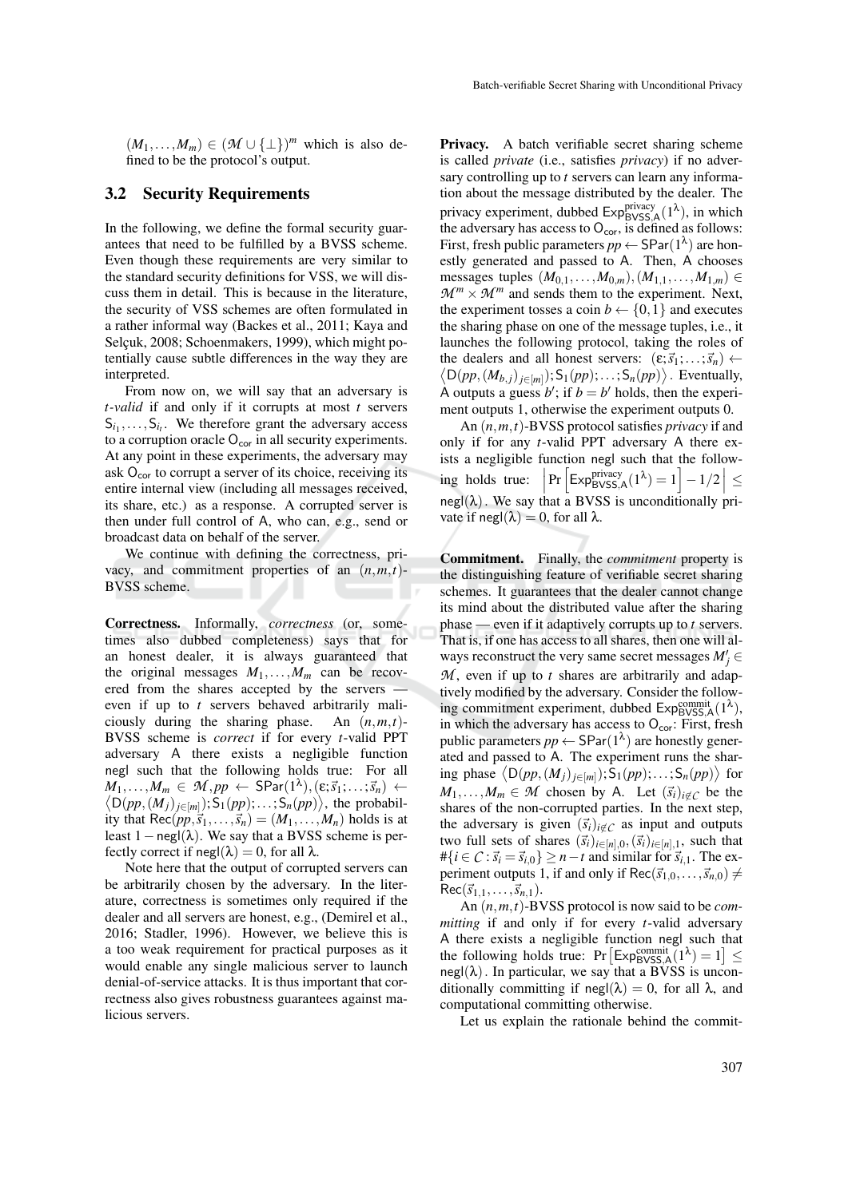$(M_1,...,M_m) \in (\mathcal{M} \cup \{\perp\})^m$  which is also defined to be the protocol's output.

### 3.2 Security Requirements

In the following, we define the formal security guarantees that need to be fulfilled by a BVSS scheme. Even though these requirements are very similar to the standard security definitions for VSS, we will discuss them in detail. This is because in the literature, the security of VSS schemes are often formulated in a rather informal way (Backes et al., 2011; Kaya and Selçuk, 2008; Schoenmakers, 1999), which might potentially cause subtle differences in the way they are interpreted.

From now on, we will say that an adversary is *t-valid* if and only if it corrupts at most *t* servers  $S_{i_1}, \ldots, S_{i_t}$ . We therefore grant the adversary access to a corruption oracle  $O_{cor}$  in all security experiments. At any point in these experiments, the adversary may ask  $O_{cor}$  to corrupt a server of its choice, receiving its entire internal view (including all messages received, its share, etc.) as a response. A corrupted server is then under full control of A, who can, e.g., send or broadcast data on behalf of the server.

We continue with defining the correctness, privacy, and commitment properties of an  $(n, m, t)$ -BVSS scheme.

Correctness. Informally, *correctness* (or, sometimes also dubbed completeness) says that for an honest dealer, it is always guaranteed that the original messages  $M_1, \ldots, M_m$  can be recovered from the shares accepted by the servers even if up to *t* servers behaved arbitrarily maliciously during the sharing phase. An (*n*,*m*,*t*)- BVSS scheme is *correct* if for every *t*-valid PPT adversary A there exists a negligible function negl such that the following holds true: For all  $M_1, \ldots, M_m \in \mathcal{M}, pp \leftarrow \textsf{SPar}(1^\lambda), (\varepsilon; \vec{s}_1; \ldots; \vec{s}_n) \leftarrow$  $\langle D(pp, (M_j)_{j \in [m]}); S_1(pp); \ldots; S_n(pp) \rangle$ , the probability that  $\text{Rec}(pp, \vec{s}_1, \ldots, \vec{s}_n) = (M_1, \ldots, M_n)$  holds is at least 1 – negl( $\lambda$ ). We say that a BVSS scheme is perfectly correct if  $\text{negl}(\lambda) = 0$ , for all  $\lambda$ .

Note here that the output of corrupted servers can be arbitrarily chosen by the adversary. In the literature, correctness is sometimes only required if the dealer and all servers are honest, e.g., (Demirel et al., 2016; Stadler, 1996). However, we believe this is a too weak requirement for practical purposes as it would enable any single malicious server to launch denial-of-service attacks. It is thus important that correctness also gives robustness guarantees against malicious servers.

**Privacy.** A batch verifiable secret sharing scheme is called *private* (i.e., satisfies *privacy*) if no adversary controlling up to *t* servers can learn any information about the message distributed by the dealer. The privacy experiment, dubbed  $Exp_{\text{BVSS,A}}^{\text{privacy}}(1^{\lambda})$ , in which the adversary has access to  $O_{cor}$ , is defined as follows: First, fresh public parameters  $pp \leftarrow$  SPar( $1^{\lambda}$ ) are honestly generated and passed to A. Then, A chooses messages tuples  $(M_{0,1},...,M_{0,m})$ ,  $(M_{1,1},...,M_{1,m})$  ∈  $\mathcal{M}^m \times \mathcal{M}^m$  and sends them to the experiment. Next, the experiment tosses a coin  $b \leftarrow \{0, 1\}$  and executes the sharing phase on one of the message tuples, i.e., it launches the following protocol, taking the roles of the dealers and all honest servers:  $(\epsilon; \vec{s}_1; \dots; \vec{s}_n) \leftarrow$  $\langle D(pp, (M_{b,j})_{j \in [m]}); S_1(pp); \ldots; S_n(pp) \rangle$ . Eventually, A outputs a guess  $b'$ ; if  $b = b'$  holds, then the experiment outputs 1, otherwise the experiment outputs 0.

An (*n*,*m*,*t*)-BVSS protocol satisfies *privacy* if and only if for any *t*-valid PPT adversary A there exists a negligible function negl such that the following holds true:  $\left|\Pr\left[\mathsf{Exp}_{\mathsf{BVSS,A}}^{\mathsf{privacy}}(1^\lambda)=1\right]-1/2\right|\leq$  $negl(\lambda)$ . We say that a BVSS is unconditionally private if negl( $\lambda$ ) = 0, for all  $\lambda$ .

Commitment. Finally, the *commitment* property is the distinguishing feature of verifiable secret sharing schemes. It guarantees that the dealer cannot change its mind about the distributed value after the sharing phase — even if it adaptively corrupts up to *t* servers. That is, if one has access to all shares, then one will always reconstruct the very same secret messages  $M'_j \in$ *M* , even if up to *t* shares are arbitrarily and adaptively modified by the adversary. Consider the following commitment experiment, dubbed  $Exp_{\text{BVSS,A}}^{\text{commit}}(1^{\lambda}),$ in which the adversary has access to  $O_{\text{cor}}$ : First, fresh public parameters  $pp \leftarrow$  SPar( $1^{\lambda}$ ) are honestly generated and passed to A. The experiment runs the sharing phase  $\langle D(pp, (M_j)_{j \in [m]}); S_1(pp); \ldots; S_n(pp) \rangle$  for  $M_1, \ldots, M_m \in \mathcal{M}$  chosen by A. Let  $(\vec{s}_i)_{i \notin C}$  be the shares of the non-corrupted parties. In the next step, the adversary is given  $(\vec{s}_i)_{i \notin C}$  as input and outputs two full sets of shares  $(\vec{s}_i)_{i \in [n],0}, (\vec{s}_i)_{i \in [n],1}$ , such that  $\#\{i \in \mathcal{C} : \vec{s_i} = \vec{s_i} \} \geq n - t$  and similar for  $\vec{s_i}$ <sub>1</sub>. The experiment outputs 1, if and only if  $Rec(\vec{s}_{1,0},...,\vec{s}_{n,0}) \neq$  $Rec(\vec{s}_{1,1},...,\vec{s}_{n,1}).$ 

An (*n*,*m*,*t*)-BVSS protocol is now said to be *committing* if and only if for every *t*-valid adversary A there exists a negligible function negl such that the following holds true:  $Pr\left[\text{Exp}_{\text{BVSS},\text{A}}^{\text{commit}}(1^{\lambda})=1\right] \leq$  $negl(\lambda)$ . In particular, we say that a BVSS is unconditionally committing if  $\text{negl}(\lambda) = 0$ , for all  $\lambda$ , and computational committing otherwise.

Let us explain the rationale behind the commit-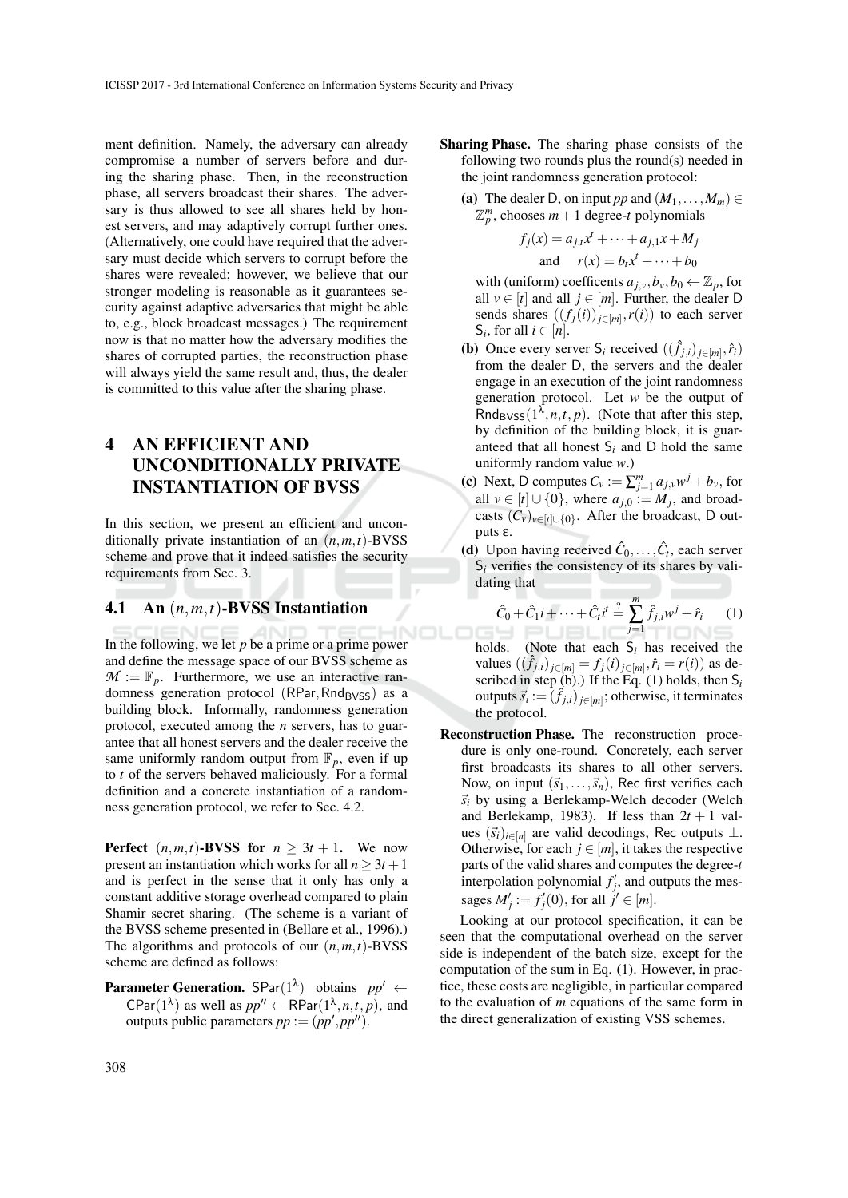ment definition. Namely, the adversary can already compromise a number of servers before and during the sharing phase. Then, in the reconstruction phase, all servers broadcast their shares. The adversary is thus allowed to see all shares held by honest servers, and may adaptively corrupt further ones. (Alternatively, one could have required that the adversary must decide which servers to corrupt before the shares were revealed; however, we believe that our stronger modeling is reasonable as it guarantees security against adaptive adversaries that might be able to, e.g., block broadcast messages.) The requirement now is that no matter how the adversary modifies the shares of corrupted parties, the reconstruction phase will always yield the same result and, thus, the dealer is committed to this value after the sharing phase.

## 4 AN EFFICIENT AND UNCONDITIONALLY PRIVATE INSTANTIATION OF BVSS

In this section, we present an efficient and unconditionally private instantiation of an (*n*,*m*,*t*)-BVSS scheme and prove that it indeed satisfies the security requirements from Sec. 3.

#### 4.1 An (*n*,*m*,*t*)-BVSS Instantiation

In the following, we let *p* be a prime or a prime power and define the message space of our BVSS scheme as  $\mathcal{M} := \mathbb{F}_p$ . Furthermore, we use an interactive randomness generation protocol ( $RPar, Rnd_{BVSS}$ ) as a building block. Informally, randomness generation protocol, executed among the *n* servers, has to guarantee that all honest servers and the dealer receive the same uniformly random output from  $\mathbb{F}_p$ , even if up to *t* of the servers behaved maliciously. For a formal definition and a concrete instantiation of a randomness generation protocol, we refer to Sec. 4.2.

**Perfect**  $(n, m, t)$ -**BVSS for**  $n \geq 3t + 1$ . We now present an instantiation which works for all  $n > 3t + 1$ and is perfect in the sense that it only has only a constant additive storage overhead compared to plain Shamir secret sharing. (The scheme is a variant of the BVSS scheme presented in (Bellare et al., 1996).) The algorithms and protocols of our  $(n, m, t)$ -BVSS scheme are defined as follows:

**Parameter Generation.** SPar $(1^{\lambda})$  obtains  $pp' \leftarrow$  $\text{CPar}(1^{\lambda})$  as well as  $pp'' \leftarrow \text{RPar}(1^{\lambda}, n, t, p)$ , and outputs public parameters  $pp := (pp', pp'')$ .

- Sharing Phase. The sharing phase consists of the following two rounds plus the round(s) needed in the joint randomness generation protocol:
	- (a) The dealer D, on input *pp* and  $(M_1, \ldots, M_m) \in$  $\mathbb{Z}_p^m$ , chooses  $m+1$  degree-*t* polynomials

$$
f_j(x) = a_{j,t}x^t + \dots + a_{j,1}x + M_j
$$
  
and 
$$
r(x) = b_tx^t + \dots + b_0
$$

- with (uniform) coefficents  $a_{j,\nu}, b_{\nu}, b_0 \leftarrow \mathbb{Z}_p$ , for all  $v \in [t]$  and all  $j \in [m]$ . Further, the dealer D sends shares  $((f_j(i))_{j \in [m]}, r(i))$  to each server S<sub>*i*</sub>, for all  $i \in [n]$ .
- (**b**) Once every server  $S_i$  received  $((\hat{f}_{j,i})_{j \in [m]}, \hat{r}_i)$ from the dealer D, the servers and the dealer engage in an execution of the joint randomness generation protocol. Let *w* be the output of Rnd<sub>BVSS</sub> $(1^{\lambda}, n, t, p)$ . (Note that after this step, by definition of the building block, it is guaranteed that all honest S*<sup>i</sup>* and D hold the same uniformly random value *w*.)
- (c) Next, D computes  $C_v := \sum_{j=1}^m a_{j,v} w^j + b_v$ , for all  $v \in [t] \cup \{0\}$ , where  $a_{j,0} := M_j$ , and broadcasts  $(C_v)_{v \in [t] \cup \{0\}}$ . After the broadcast, D outputs ε.
- (d) Upon having received  $\hat{C}_0, \ldots, \hat{C}_t$ , each server  $S_i$  verifies the consistency of its shares by validating that

$$
\hat{C}_0 + \hat{C}_1 i + \dots + \hat{C}_t i^t \stackrel{?}{=} \sum_{j=1}^m \hat{f}_{j,i} w^j + \hat{r}_i \qquad (1)
$$

- holds. (Note that each S*<sup>i</sup>* has received the values  $((\hat{f}_{j,i})_{j \in [m]} = f_j(i)_{j \in [m]}, \hat{r}_i = r(i))$  as described in step  $(b)$ .) If the Eq.  $(1)$  holds, then  $S_i$ outputs  $\vec{s}_i := (\hat{f}_{j,i})_{j \in [m]}$ ; otherwise, it terminates the protocol.
- Reconstruction Phase. The reconstruction procedure is only one-round. Concretely, each server first broadcasts its shares to all other servers. Now, on input  $(\vec{s}_1,\ldots,\vec{s}_n)$ , Rec first verifies each  $\vec{s}_i$  by using a Berlekamp-Welch decoder (Welch and Berlekamp, 1983). If less than  $2t + 1$  values  $(\vec{s}_i)_{i \in [n]}$  are valid decodings, Rec outputs  $\perp$ . Otherwise, for each  $j \in [m]$ , it takes the respective parts of the valid shares and computes the degree-*t* interpolation polynomial  $f'_j$ , and outputs the messages  $M'_j := f'_j(0)$ , for all  $j' \in [m]$ .

Looking at our protocol specification, it can be seen that the computational overhead on the server side is independent of the batch size, except for the computation of the sum in Eq. (1). However, in practice, these costs are negligible, in particular compared to the evaluation of *m* equations of the same form in the direct generalization of existing VSS schemes.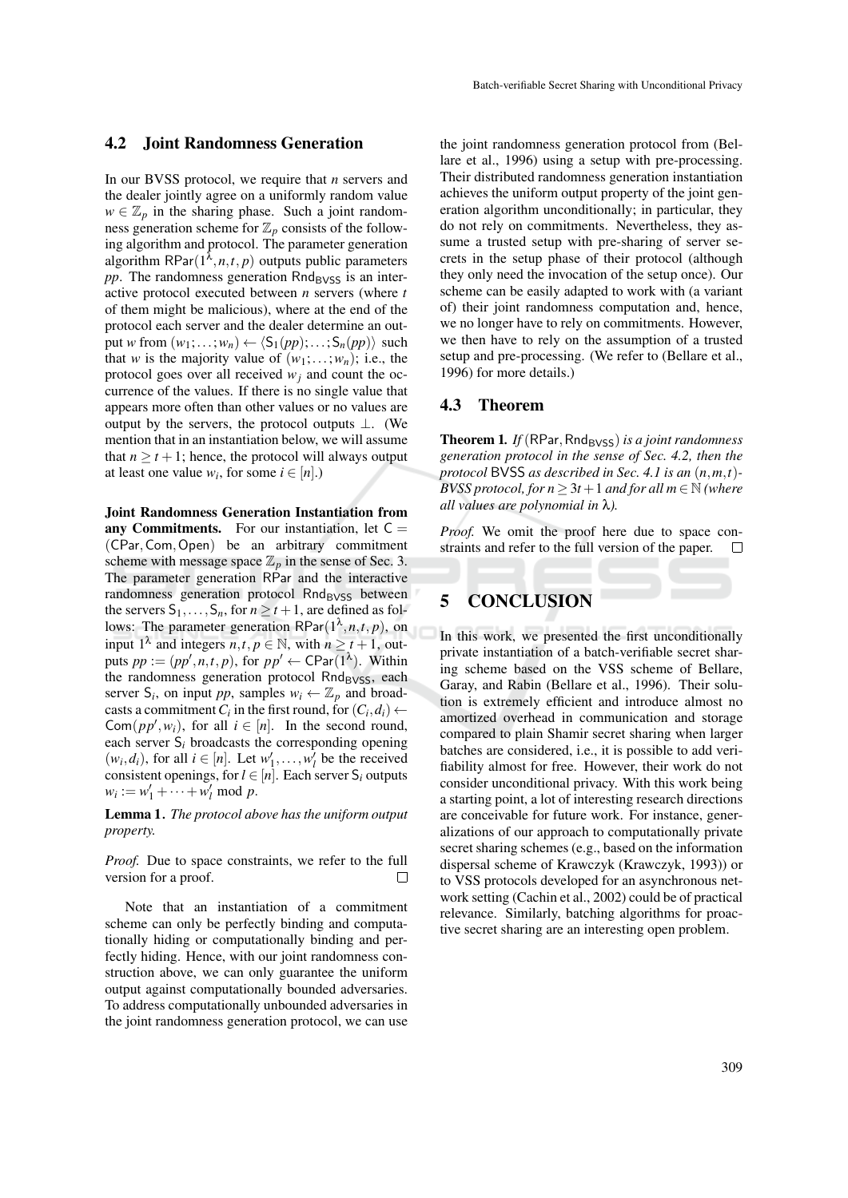### 4.2 Joint Randomness Generation

In our BVSS protocol, we require that *n* servers and the dealer jointly agree on a uniformly random value  $w \in \mathbb{Z}_p$  in the sharing phase. Such a joint randomness generation scheme for  $\mathbb{Z}_p$  consists of the following algorithm and protocol. The parameter generation algorithm  $\mathsf{RPar}(1^{\overline{\lambda}}, n, t, p)$  outputs public parameters  $pp$ . The randomness generation Rnd<sub>BVSS</sub> is an interactive protocol executed between *n* servers (where *t* of them might be malicious), where at the end of the protocol each server and the dealer determine an output *w* from  $(w_1; \ldots; w_n) \leftarrow \langle S_1(pp); \ldots; S_n(pp) \rangle$  such that *w* is the majority value of  $(w_1; \ldots; w_n)$ ; i.e., the protocol goes over all received  $w_j$  and count the occurrence of the values. If there is no single value that appears more often than other values or no values are output by the servers, the protocol outputs  $\bot$ . (We mention that in an instantiation below, we will assume that  $n \ge t + 1$ ; hence, the protocol will always output at least one value  $w_i$ , for some  $i \in [n]$ .)

Joint Randomness Generation Instantiation from any Commitments. For our instantiation, let  $C =$ (CPar,Com,Open) be an arbitrary commitment scheme with message space  $\mathbb{Z}_p$  in the sense of Sec. 3. The parameter generation RPar and the interactive randomness generation protocol Rnd<sub>BVSS</sub> between the servers  $S_1, \ldots, S_n$ , for  $n \ge t+1$ , are defined as follows: The parameter generation  $\mathsf{RPar}(1^{\lambda}, n, t, p)$ , on input  $1^{\lambda}$  and integers *n*,*t*, *p*  $\in$  N, with *n*  $\geq t + 1$ , outputs  $pp := (pp', n, t, p)$ , for  $pp' \leftarrow \text{CPar}(1^{\lambda})$ . Within the randomness generation protocol  $Rnd_{\text{BVSS}}$ , each server  $S_i$ , on input *pp*, samples  $w_i \leftarrow \mathbb{Z}_p$  and broadcasts a commitment  $C_i$  in the first round, for  $(C_i, d_i) \leftarrow$  $\text{Com}(pp', w_i)$ , for all  $i \in [n]$ . In the second round, each server S*<sup>i</sup>* broadcasts the corresponding opening  $(w_i, d_i)$ , for all  $i \in [n]$ . Let  $w'_1, \ldots, w'_l$  be the received consistent openings, for  $l \in [n]$ . Each server  $S_i$  outputs  $w_i := w'_1 + \cdots + w'_l \text{ mod } p.$ 

Lemma 1*. The protocol above has the uniform output property.*

*Proof.* Due to space constraints, we refer to the full version for a proof. П

Note that an instantiation of a commitment scheme can only be perfectly binding and computationally hiding or computationally binding and perfectly hiding. Hence, with our joint randomness construction above, we can only guarantee the uniform output against computationally bounded adversaries. To address computationally unbounded adversaries in the joint randomness generation protocol, we can use

the joint randomness generation protocol from (Bellare et al., 1996) using a setup with pre-processing. Their distributed randomness generation instantiation achieves the uniform output property of the joint generation algorithm unconditionally; in particular, they do not rely on commitments. Nevertheless, they assume a trusted setup with pre-sharing of server secrets in the setup phase of their protocol (although they only need the invocation of the setup once). Our scheme can be easily adapted to work with (a variant of) their joint randomness computation and, hence, we no longer have to rely on commitments. However, we then have to rely on the assumption of a trusted setup and pre-processing. (We refer to (Bellare et al., 1996) for more details.)

### 4.3 Theorem

Theorem 1. *If* (RPar, Rnd<sub>BVSS</sub>) *is a joint randomness generation protocol in the sense of Sec. 4.2, then the protocol* BVSS *as described in Sec. 4.1 is an* (*n*,*m*,*t*)*- BVSS protocol, for*  $n \geq 3t + 1$  *and for all*  $m \in \mathbb{N}$  *(where all values are polynomial in* λ*).*

*Proof.* We omit the proof here due to space constraints and refer to the full version of the paper.  $\Box$ 

## 5 CONCLUSION

In this work, we presented the first unconditionally private instantiation of a batch-verifiable secret sharing scheme based on the VSS scheme of Bellare, Garay, and Rabin (Bellare et al., 1996). Their solution is extremely efficient and introduce almost no amortized overhead in communication and storage compared to plain Shamir secret sharing when larger batches are considered, i.e., it is possible to add verifiability almost for free. However, their work do not consider unconditional privacy. With this work being a starting point, a lot of interesting research directions are conceivable for future work. For instance, generalizations of our approach to computationally private secret sharing schemes (e.g., based on the information dispersal scheme of Krawczyk (Krawczyk, 1993)) or to VSS protocols developed for an asynchronous network setting (Cachin et al., 2002) could be of practical relevance. Similarly, batching algorithms for proactive secret sharing are an interesting open problem.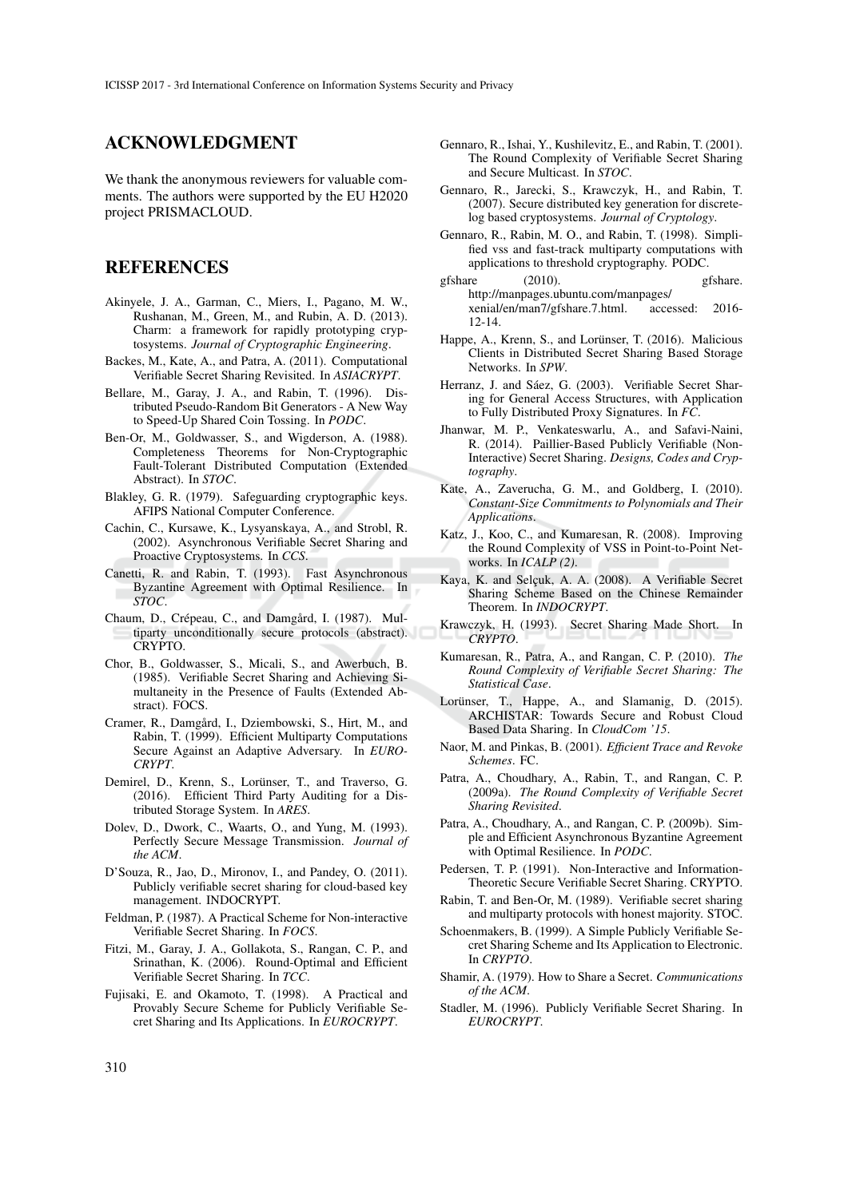### ACKNOWLEDGMENT

We thank the anonymous reviewers for valuable comments. The authors were supported by the EU H2020 project PRISMACLOUD.

### REFERENCES

- Akinyele, J. A., Garman, C., Miers, I., Pagano, M. W., Rushanan, M., Green, M., and Rubin, A. D. (2013). Charm: a framework for rapidly prototyping cryptosystems. *Journal of Cryptographic Engineering*.
- Backes, M., Kate, A., and Patra, A. (2011). Computational Verifiable Secret Sharing Revisited. In *ASIACRYPT*.
- Bellare, M., Garay, J. A., and Rabin, T. (1996). Distributed Pseudo-Random Bit Generators - A New Way to Speed-Up Shared Coin Tossing. In *PODC*.
- Ben-Or, M., Goldwasser, S., and Wigderson, A. (1988). Completeness Theorems for Non-Cryptographic Fault-Tolerant Distributed Computation (Extended Abstract). In *STOC*.
- Blakley, G. R. (1979). Safeguarding cryptographic keys. AFIPS National Computer Conference.
- Cachin, C., Kursawe, K., Lysyanskaya, A., and Strobl, R. (2002). Asynchronous Verifiable Secret Sharing and Proactive Cryptosystems. In *CCS*.
- Canetti, R. and Rabin, T. (1993). Fast Asynchronous Byzantine Agreement with Optimal Resilience. In *STOC*.
- Chaum, D., Crépeau, C., and Damgård, I. (1987). Multiparty unconditionally secure protocols (abstract). CRYPTO.
- Chor, B., Goldwasser, S., Micali, S., and Awerbuch, B. (1985). Verifiable Secret Sharing and Achieving Simultaneity in the Presence of Faults (Extended Abstract). FOCS.
- Cramer, R., Damgård, I., Dziembowski, S., Hirt, M., and Rabin, T. (1999). Efficient Multiparty Computations Secure Against an Adaptive Adversary. In *EURO-CRYPT*.
- Demirel, D., Krenn, S., Lorünser, T., and Traverso, G. (2016). Efficient Third Party Auditing for a Distributed Storage System. In *ARES*.
- Dolev, D., Dwork, C., Waarts, O., and Yung, M. (1993). Perfectly Secure Message Transmission. *Journal of the ACM*.
- D'Souza, R., Jao, D., Mironov, I., and Pandey, O. (2011). Publicly verifiable secret sharing for cloud-based key management. INDOCRYPT.
- Feldman, P. (1987). A Practical Scheme for Non-interactive Verifiable Secret Sharing. In *FOCS*.
- Fitzi, M., Garay, J. A., Gollakota, S., Rangan, C. P., and Srinathan, K. (2006). Round-Optimal and Efficient Verifiable Secret Sharing. In *TCC*.
- Fujisaki, E. and Okamoto, T. (1998). A Practical and Provably Secure Scheme for Publicly Verifiable Secret Sharing and Its Applications. In *EUROCRYPT*.
- Gennaro, R., Ishai, Y., Kushilevitz, E., and Rabin, T. (2001). The Round Complexity of Verifiable Secret Sharing and Secure Multicast. In *STOC*.
- Gennaro, R., Jarecki, S., Krawczyk, H., and Rabin, T. (2007). Secure distributed key generation for discretelog based cryptosystems. *Journal of Cryptology*.
- Gennaro, R., Rabin, M. O., and Rabin, T. (1998). Simplified vss and fast-track multiparty computations with applications to threshold cryptography. PODC.
- gfshare (2010). gfshare. http://manpages.ubuntu.com/manpages/<br>xenial/en/man7/gfshare.7.html. accessed: 2016xenial/en/man7/gfshare.7.html. 12-14.
- Happe, A., Krenn, S., and Lorünser, T. (2016). Malicious Clients in Distributed Secret Sharing Based Storage Networks. In *SPW*.
- Herranz, J. and Sáez, G. (2003). Verifiable Secret Sharing for General Access Structures, with Application to Fully Distributed Proxy Signatures. In *FC*.
- Jhanwar, M. P., Venkateswarlu, A., and Safavi-Naini, R. (2014). Paillier-Based Publicly Verifiable (Non-Interactive) Secret Sharing. *Designs, Codes and Cryptography*.
- Kate, A., Zaverucha, G. M., and Goldberg, I. (2010). *Constant-Size Commitments to Polynomials and Their Applications*.
- Katz, J., Koo, C., and Kumaresan, R. (2008). Improving the Round Complexity of VSS in Point-to-Point Networks. In *ICALP (2)*.
- Kaya, K. and Selcuk, A. A. (2008). A Verifiable Secret Sharing Scheme Based on the Chinese Remainder Theorem. In *INDOCRYPT*.
- Krawczyk, H. (1993). Secret Sharing Made Short. In *CRYPTO*.
- Kumaresan, R., Patra, A., and Rangan, C. P. (2010). *The Round Complexity of Verifiable Secret Sharing: The Statistical Case*.
- Lorünser, T., Happe, A., and Slamanig, D. (2015). ARCHISTAR: Towards Secure and Robust Cloud Based Data Sharing. In *CloudCom '15*.
- Naor, M. and Pinkas, B. (2001). *Efficient Trace and Revoke Schemes*. FC.
- Patra, A., Choudhary, A., Rabin, T., and Rangan, C. P. (2009a). *The Round Complexity of Verifiable Secret Sharing Revisited*.
- Patra, A., Choudhary, A., and Rangan, C. P. (2009b). Simple and Efficient Asynchronous Byzantine Agreement with Optimal Resilience. In *PODC*.
- Pedersen, T. P. (1991). Non-Interactive and Information-Theoretic Secure Verifiable Secret Sharing. CRYPTO.
- Rabin, T. and Ben-Or, M. (1989). Verifiable secret sharing and multiparty protocols with honest majority. STOC.
- Schoenmakers, B. (1999). A Simple Publicly Verifiable Secret Sharing Scheme and Its Application to Electronic. In *CRYPTO*.
- Shamir, A. (1979). How to Share a Secret. *Communications of the ACM*.
- Stadler, M. (1996). Publicly Verifiable Secret Sharing. In *EUROCRYPT*.